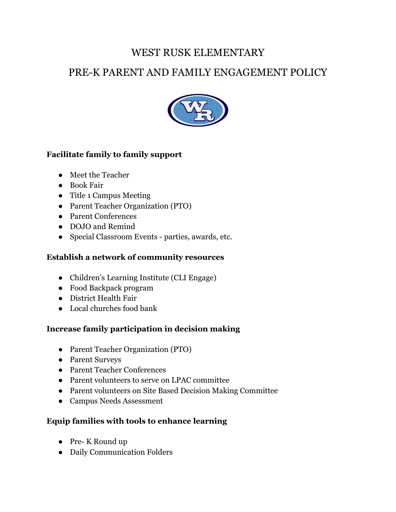# WEST RUSK ELEMENTARY

# PRE-K PARENT AND FAMILY ENGAGEMENT POLICY



### **Facilitate family to family support**

- Meet the Teacher
- Book Fair
- Title 1 Campus Meeting
- Parent Teacher Organization (PTO)
- Parent Conferences
- DOJO and Remind
- Special Classroom Events parties, awards, etc.

#### **Establish a network of community resources**

- Children's Learning Institute (CLI Engage)
- Food Backpack program
- District Health Fair
- Local churches food bank

## **Increase family participation in decision making**

- Parent Teacher Organization (PTO)
- Parent Surveys
- Parent Teacher Conferences
- Parent volunteers to serve on LPAC committee
- Parent volunteers on Site Based Decision Making Committee
- Campus Needs Assessment

## **Equip families with tools to enhance learning**

- Pre- K Round up
- Daily Communication Folders